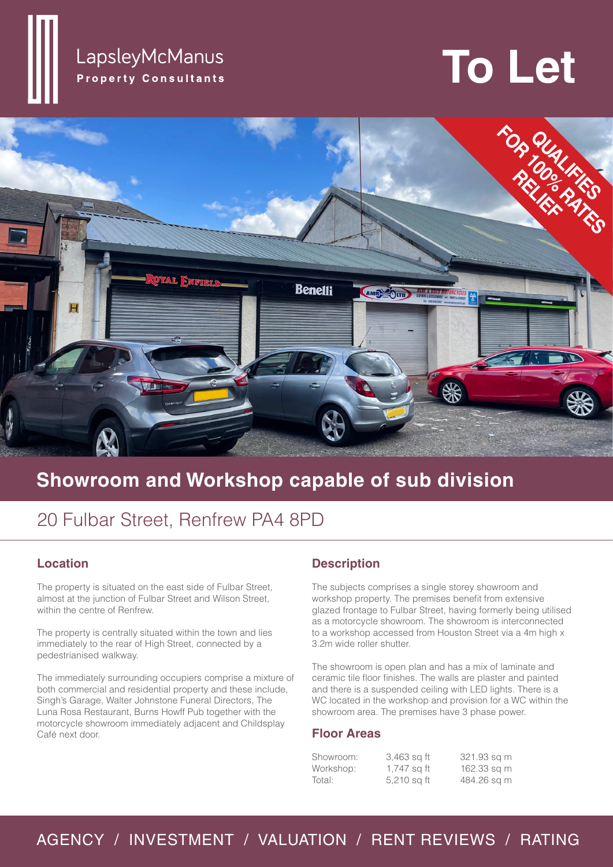### LapsleyMcManus **Property Consultants**

# **To Let**



## **Showroom and Workshop capable of sub division**

## 20 Fulbar Street, Renfrew PA4 8PD

#### **Location**

The property is situated on the east side of Fulbar Street, almost at the junction of Fulbar Street and Wilson Street, within the centre of Renfrew.

The property is centrally situated within the town and lies immediately to the rear of High Street, connected by a pedestrianised walkway.

The immediately surrounding occupiers comprise a mixture of both commercial and residential property and these include, Singh's Garage, Walter Johnstone Funeral Directors, The Luna Rosa Restaurant, Burns Howff Pub together with the motorcycle showroom immediately adjacent and Childsplay Café next door.

#### **Description**

The subjects comprises a single storey showroom and workshop property. The premises benefit from extensive glazed frontage to Fulbar Street, having formerly being utilised as a motorcycle showroom. The showroom is interconnected to a workshop accessed from Houston Street via a 4m high x 3.2m wide roller shutter.

The showroom is open plan and has a mix of laminate and ceramic tile floor finishes. The walls are plaster and painted and there is a suspended ceiling with LED lights. There is a WC located in the workshop and provision for a WC within the showroom area. The premises have 3 phase power.

#### **Floor Areas**

| Showroom: | 3,463 sq ft | 321.93 sq m |
|-----------|-------------|-------------|
| Workshop: | 1,747 sq ft | 162.33 sq m |
| Total:    | 5,210 sq ft | 484.26 sq m |